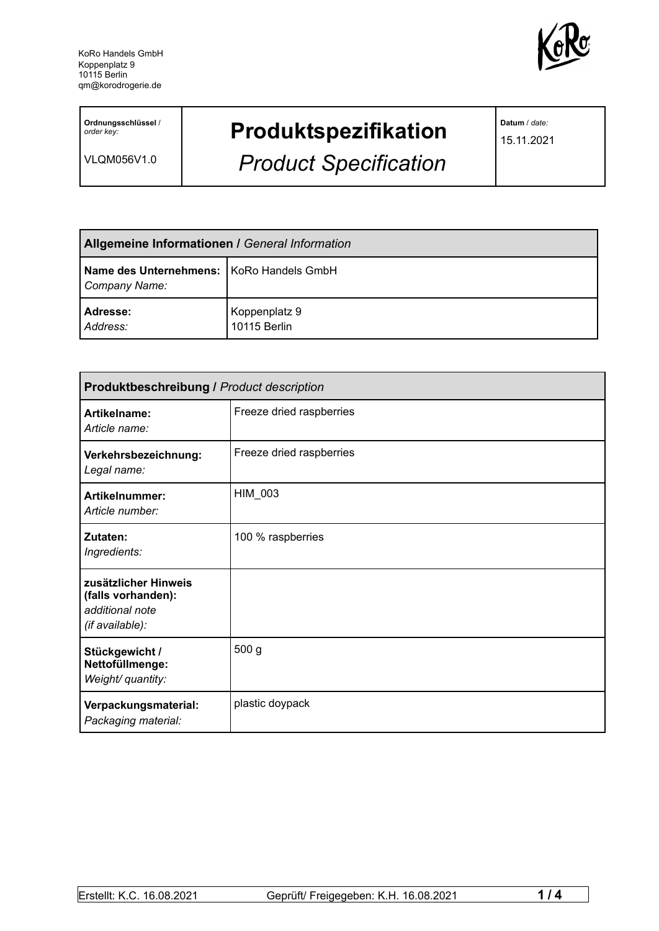

**Ordnungsschlüssel** / *order key:*

VLQM056V1.0

## **Produktspezifikation**

*Product Specification*

**Datum** / *date:*

15.11.2021

| <b>Allgemeine Informationen / General Information</b>       |                               |  |
|-------------------------------------------------------------|-------------------------------|--|
| Name des Unternehmens:   KoRo Handels GmbH<br>Company Name: |                               |  |
| Adresse:<br>Address:                                        | Koppenplatz 9<br>10115 Berlin |  |

| <b>Produktbeschreibung / Product description</b>                                 |                          |  |
|----------------------------------------------------------------------------------|--------------------------|--|
| Artikelname:<br>Article name:                                                    | Freeze dried raspberries |  |
| Verkehrsbezeichnung:<br>Legal name:                                              | Freeze dried raspberries |  |
| Artikelnummer:<br>Article number:                                                | HIM_003                  |  |
| Zutaten:<br>Ingredients:                                                         | 100 % raspberries        |  |
| zusätzlicher Hinweis<br>(falls vorhanden):<br>additional note<br>(if available): |                          |  |
| Stückgewicht /<br>Nettofüllmenge:<br>Weight/ quantity:                           | 500 g                    |  |
| Verpackungsmaterial:<br>Packaging material:                                      | plastic doypack          |  |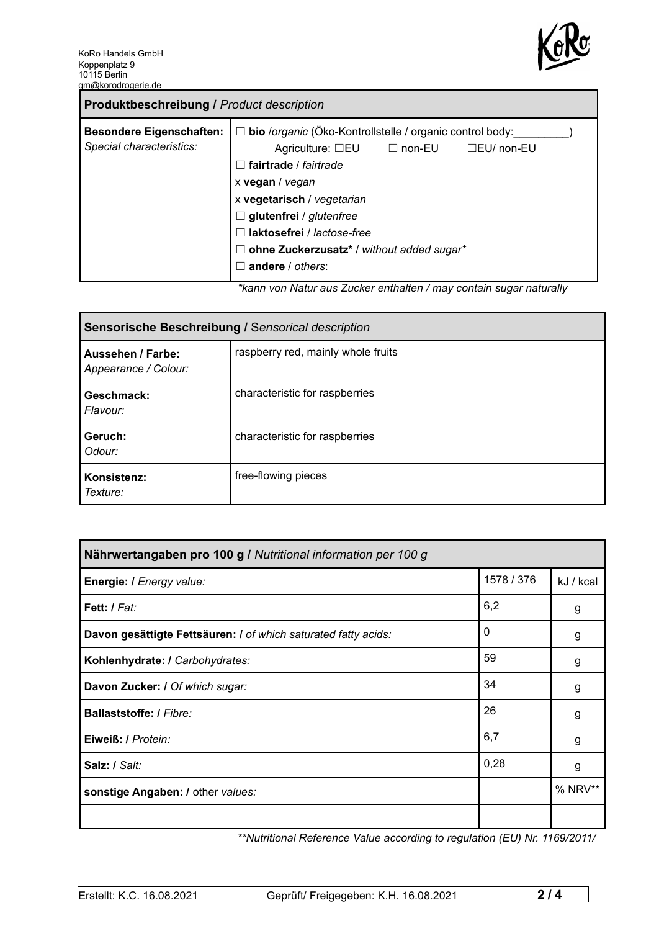

| <b>Produktbeschreibung / Product description</b>            |                                                                                                                                                                                                                                                                                                                                                                       |
|-------------------------------------------------------------|-----------------------------------------------------------------------------------------------------------------------------------------------------------------------------------------------------------------------------------------------------------------------------------------------------------------------------------------------------------------------|
| <b>Besondere Eigenschaften:</b><br>Special characteristics: | bio /organic (Öko-Kontrollstelle / organic control body:<br>$\Box$<br>Agriculture: $\square$ EU $\square$ non-EU<br>$\Box$ EU/ non-EU<br>fairtrade / fairtrade<br>$\mathbf{1}$<br>x vegan / vegan<br>x vegetarisch / vegetarian<br>$\Box$ glutenfrei / glutenfree<br>laktosefrei / lactose-free<br>ohne Zuckerzusatz* / without added sugar*<br>ш<br>andere / others: |
|                                                             | ticana van Natur que Zuelcar ontholten (may contain quaer noturally                                                                                                                                                                                                                                                                                                   |

*\*kann von Natur aus Zucker enthalten / may contain sugar naturally*

| Sensorische Beschreibung / Sensorical description |                                    |  |
|---------------------------------------------------|------------------------------------|--|
| Aussehen / Farbe:<br>Appearance / Colour:         | raspberry red, mainly whole fruits |  |
| Geschmack:<br>Flavour:                            | characteristic for raspberries     |  |
| Geruch:<br>Odour:                                 | characteristic for raspberries     |  |
| Konsistenz:<br>Texture:                           | free-flowing pieces                |  |

| Nährwertangaben pro 100 g / Nutritional information per 100 g  |            |           |
|----------------------------------------------------------------|------------|-----------|
| Energie: I Energy value:                                       | 1578 / 376 | kJ / kcal |
| Fett: / Fat:                                                   | 6,2        | g         |
| Davon gesättigte Fettsäuren: I of which saturated fatty acids: | 0          | g         |
| Kohlenhydrate: I Carbohydrates:                                | 59         | g         |
| Davon Zucker: I Of which sugar:                                | 34         | g         |
| Ballaststoffe: / Fibre:                                        | 26         | g         |
| Eiweiß: / Protein:                                             | 6,7        | g         |
| Salz: / Salt:                                                  | 0,28       | g         |
| sonstige Angaben: / other values:                              |            | % NRV**   |
|                                                                |            |           |

*\*\*Nutritional Reference Value according to regulation (EU) Nr. 1169/2011/*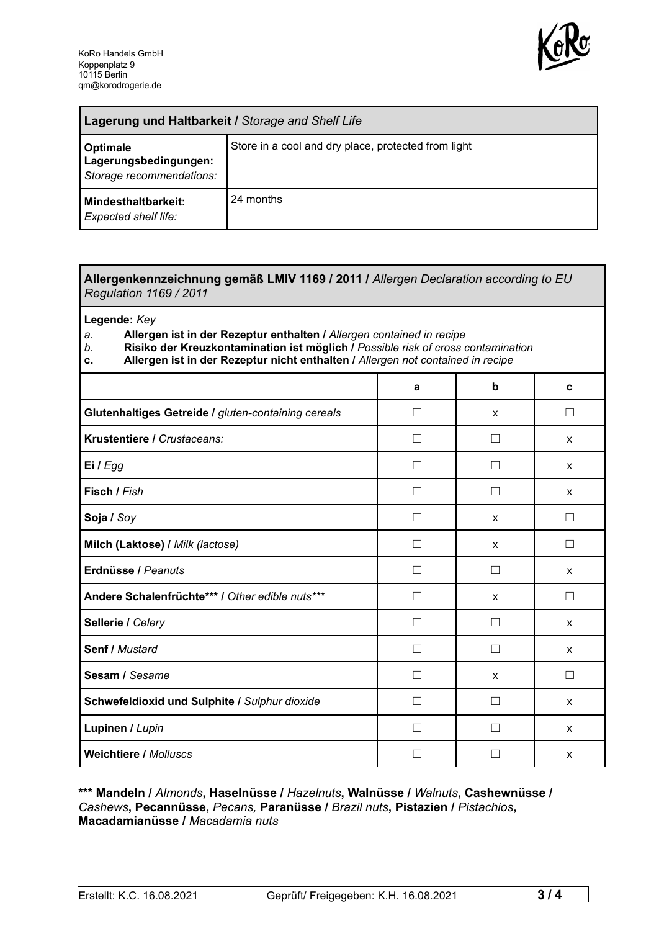

| Lagerung und Haltbarkeit / Storage and Shelf Life             |                                                     |  |
|---------------------------------------------------------------|-----------------------------------------------------|--|
| Optimale<br>Lagerungsbedingungen:<br>Storage recommendations: | Store in a cool and dry place, protected from light |  |
| Mindesthaltbarkeit:<br><b>Expected shelf life:</b>            | 24 months                                           |  |

## **Allergenkennzeichnung gemäß LMIV 1169 / 2011 /** *Allergen Declaration according to EU Regulation 1169 / 2011*

**Legende:** *Key*

*a.* **Allergen ist in der Rezeptur enthalten /** *Allergen contained in recipe*

- *b.* **Risiko der Kreuzkontamination ist möglich /** *Possible risk of cross contamination*
- **c. Allergen ist in der Rezeptur nicht enthalten /** *Allergen not contained in recipe*

|                                                     | a             | b            | C      |
|-----------------------------------------------------|---------------|--------------|--------|
| Glutenhaltiges Getreide / gluten-containing cereals | $\Box$        | X            | П      |
| Krustentiere / Crustaceans:                         |               |              | X      |
| Ei / Egg                                            |               |              | X      |
| Fisch / Fish                                        |               |              | X      |
| Soja / Soy                                          |               | X            |        |
| Milch (Laktose) / Milk (lactose)                    | П             | $\mathsf{x}$ | П      |
| Erdnüsse / Peanuts                                  | П             | $\perp$      | X      |
| Andere Schalenfrüchte*** / Other edible nuts***     | П             | X            | П      |
| Sellerie / Celery                                   | П             | П            | X      |
| Senf / Mustard                                      | П             | П            | X      |
| Sesam / Sesame                                      | Ш             | X            | $\Box$ |
| Schwefeldioxid und Sulphite / Sulphur dioxide       | $\mathcal{L}$ |              | X      |
| Lupinen / Lupin                                     |               |              | X      |
| <b>Weichtiere / Molluscs</b>                        |               |              | X      |

## **\*\*\* Mandeln /** *Almonds***, Haselnüsse /** *Hazelnuts***, Walnüsse /** *Walnuts***, Cashewnüsse /** *Cashews***, Pecannüsse,** *Pecans,* **Paranüsse /** *Brazil nuts***, Pistazien /** *Pistachios***, Macadamianüsse /** *Macadamia nuts*